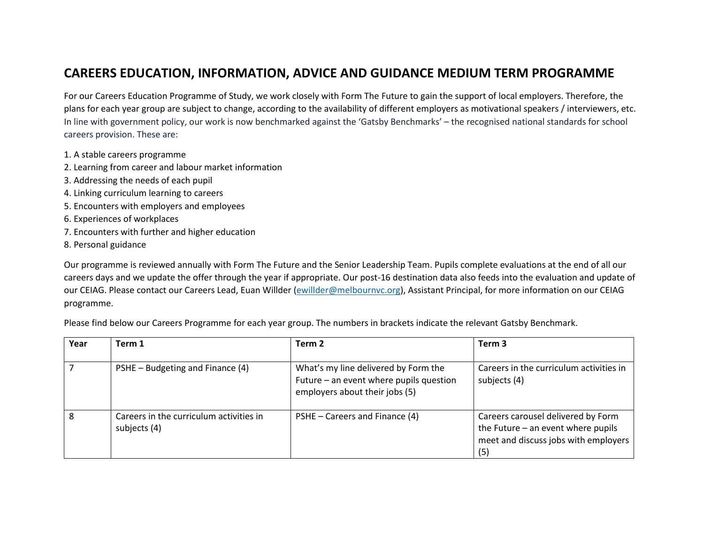## **CAREERS EDUCATION, INFORMATION, ADVICE AND GUIDANCE MEDIUM TERM PROGRAMME**

For our Careers Education Programme of Study, we work closely with Form The Future to gain the support of local employers. Therefore, the plans for each year group are subject to change, according to the availability of different employers as motivational speakers / interviewers, etc. In line with government policy, our work is now benchmarked against the 'Gatsby Benchmarks' – the recognised national standards for school careers provision. These are:

- 1. A stable careers programme
- 2. Learning from career and labour market information
- 3. Addressing the needs of each pupil
- 4. Linking curriculum learning to careers
- 5. Encounters with employers and employees
- 6. Experiences of workplaces
- 7. Encounters with further and higher education
- 8. Personal guidance

Our programme is reviewed annually with Form The Future and the Senior Leadership Team. Pupils complete evaluations at the end of all our careers days and we update the offer through the year if appropriate. Our post-16 destination data also feeds into the evaluation and update of our CEIAG. Please contact our Careers Lead, Euan Willder [\(ewillder@melbournvc.org\)](mailto:ewillder@melbournvc.org), Assistant Principal, for more information on our CEIAG programme.

| Year | Term 1                                                  | Term 2                                                                                                            | Term <sub>3</sub>                                                                                                         |
|------|---------------------------------------------------------|-------------------------------------------------------------------------------------------------------------------|---------------------------------------------------------------------------------------------------------------------------|
|      | PSHE – Budgeting and Finance (4)                        | What's my line delivered by Form the<br>Future - an event where pupils question<br>employers about their jobs (5) | Careers in the curriculum activities in<br>subjects (4)                                                                   |
| 8    | Careers in the curriculum activities in<br>subjects (4) | PSHE – Careers and Finance (4)                                                                                    | Careers carousel delivered by Form<br>the Future $-$ an event where pupils<br>meet and discuss jobs with employers<br>(5) |

Please find below our Careers Programme for each year group. The numbers in brackets indicate the relevant Gatsby Benchmark.